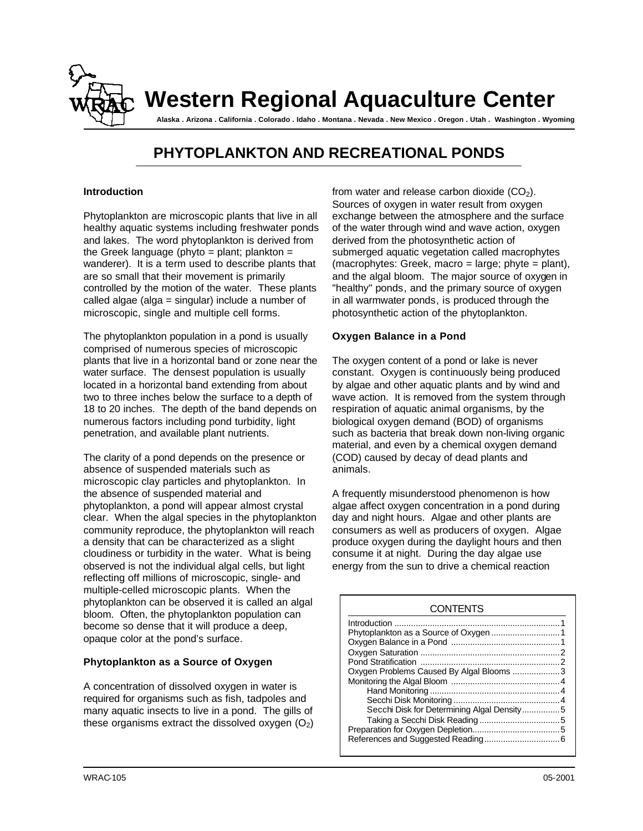

**Western Regional Aquaculture Center**

**Alaska . Arizona . California . Colorado . Idaho . Montana . Nevada . New Mexico . Oregon . Utah . Washington . Wyoming**

# **PHYTOPLANKTON AND RECREATIONAL PONDS**

#### **Introduction**

Phytoplankton are microscopic plants that live in all healthy aquatic systems including freshwater ponds and lakes. The word phytoplankton is derived from the Greek language (phyto  $=$  plant; plankton  $=$ wanderer). It is a term used to describe plants that are so small that their movement is primarily controlled by the motion of the water. These plants called algae (alga = singular) include a number of microscopic, single and multiple cell forms.

The phytoplankton population in a pond is usually comprised of numerous species of microscopic plants that live in a horizontal band or zone near the water surface. The densest population is usually located in a horizontal band extending from about two to three inches below the surface to a depth of 18 to 20 inches. The depth of the band depends on numerous factors including pond turbidity, light penetration, and available plant nutrients.

The clarity of a pond depends on the presence or absence of suspended materials such as microscopic clay particles and phytoplankton. In the absence of suspended material and phytoplankton, a pond will appear almost crystal clear. When the algal species in the phytoplankton community reproduce, the phytoplankton will reach a density that can be characterized as a slight cloudiness or turbidity in the water. What is being observed is not the individual algal cells, but light reflecting off millions of microscopic, single- and multiple-celled microscopic plants. When the phytoplankton can be observed it is called an algal bloom. Often, the phytoplankton population can become so dense that it will produce a deep, opaque color at the pond's surface.

#### **Phytoplankton as a Source of Oxygen**

A concentration of dissolved oxygen in water is required for organisms such as fish, tadpoles and many aquatic insects to live in a pond. The gills of these organisms extract the dissolved oxygen  $(O<sub>2</sub>)$  from water and release carbon dioxide  $(CO<sub>2</sub>)$ . Sources of oxygen in water result from oxygen exchange between the atmosphere and the surface of the water through wind and wave action, oxygen derived from the photosynthetic action of submerged aquatic vegetation called macrophytes (macrophytes: Greek, macro = large; phyte = plant), and the algal bloom. The major source of oxygen in "healthy" ponds, and the primary source of oxygen in all warmwater ponds, is produced through the photosynthetic action of the phytoplankton.

### **Oxygen Balance in a Pond**

The oxygen content of a pond or lake is never constant. Oxygen is continuously being produced by algae and other aquatic plants and by wind and wave action. It is removed from the system through respiration of aquatic animal organisms, by the biological oxygen demand (BOD) of organisms such as bacteria that break down non-living organic material, and even by a chemical oxygen demand (COD) caused by decay of dead plants and animals.

A frequently misunderstood phenomenon is how algae affect oxygen concentration in a pond during day and night hours. Algae and other plants are consumers as well as producers of oxygen. Algae produce oxygen during the daylight hours and then consume it at night. During the day algae use energy from the sun to drive a chemical reaction

## **CONTENTS**

| Oxygen Problems Caused By Algal Blooms 3   |  |
|--------------------------------------------|--|
|                                            |  |
|                                            |  |
|                                            |  |
| Secchi Disk for Determining Algal Density5 |  |
|                                            |  |
|                                            |  |
|                                            |  |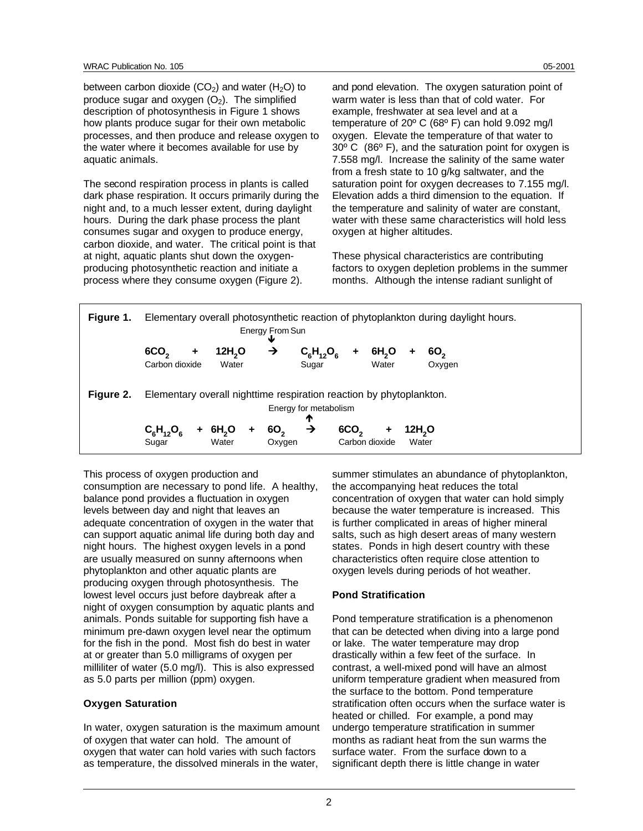between carbon dioxide  $(CO<sub>2</sub>)$  and water  $(H<sub>2</sub>O)$  to produce sugar and oxygen  $(O_2)$ . The simplified description of photosynthesis in Figure 1 shows how plants produce sugar for their own metabolic processes, and then produce and release oxygen to the water where it becomes available for use by aquatic animals.

The second respiration process in plants is called dark phase respiration. It occurs primarily during the night and, to a much lesser extent, during daylight hours. During the dark phase process the plant consumes sugar and oxygen to produce energy, carbon dioxide, and water. The critical point is that at night, aquatic plants shut down the oxygenproducing photosynthetic reaction and initiate a process where they consume oxygen (Figure 2).

and pond elevation. The oxygen saturation point of warm water is less than that of cold water. For example, freshwater at sea level and at a temperature of 20º C (68º F) can hold 9.092 mg/l oxygen. Elevate the temperature of that water to 30º C (86º F), and the saturation point for oxygen is 7.558 mg/l. Increase the salinity of the same water from a fresh state to 10 g/kg saltwater, and the saturation point for oxygen decreases to 7.155 mg/l. Elevation adds a third dimension to the equation. If the temperature and salinity of water are constant, water with these same characteristics will hold less oxygen at higher altitudes.

These physical characteristics are contributing factors to oxygen depletion problems in the summer months. Although the intense radiant sunlight of

| Figure 1. | Elementary overall photosynthetic reaction of phytoplankton during daylight hours.<br>Energy From Sun<br>₩ |                |               |                         |                            |                |               |
|-----------|------------------------------------------------------------------------------------------------------------|----------------|---------------|-------------------------|----------------------------|----------------|---------------|
|           | 6CO <sub>2</sub><br>Carbon dioxide                                                                         | 12H,O<br>Water | →             | $C_6H_{12}O_6$<br>Sugar | 6H <sub>2</sub> O<br>Water |                | 6O.<br>Oxygen |
| Figure 2. | Elementary overall nighttime respiration reaction by phytoplankton.<br>Energy for metabolism<br>↑          |                |               |                         |                            |                |               |
|           | $C_6H_{12}O_6$<br>Sugar                                                                                    | 6H,O<br>Water  | 60.<br>Oxygen | →<br>6CO <sub>2</sub>   | Carbon dioxide             | 12H,O<br>Water |               |

This process of oxygen production and consumption are necessary to pond life. A healthy, balance pond provides a fluctuation in oxygen levels between day and night that leaves an adequate concentration of oxygen in the water that can support aquatic animal life during both day and night hours. The highest oxygen levels in a pond are usually measured on sunny afternoons when phytoplankton and other aquatic plants are producing oxygen through photosynthesis. The lowest level occurs just before daybreak after a night of oxygen consumption by aquatic plants and animals. Ponds suitable for supporting fish have a minimum pre-dawn oxygen level near the optimum for the fish in the pond. Most fish do best in water at or greater than 5.0 milligrams of oxygen per milliliter of water (5.0 mg/l). This is also expressed as 5.0 parts per million (ppm) oxygen.

## **Oxygen Saturation**

In water, oxygen saturation is the maximum amount of oxygen that water can hold. The amount of oxygen that water can hold varies with such factors as temperature, the dissolved minerals in the water,

summer stimulates an abundance of phytoplankton, the accompanying heat reduces the total concentration of oxygen that water can hold simply because the water temperature is increased. This is further complicated in areas of higher mineral salts, such as high desert areas of many western states. Ponds in high desert country with these characteristics often require close attention to oxygen levels during periods of hot weather.

## **Pond Stratification**

Pond temperature stratification is a phenomenon that can be detected when diving into a large pond or lake. The water temperature may drop drastically within a few feet of the surface. In contrast, a well-mixed pond will have an almost uniform temperature gradient when measured from the surface to the bottom. Pond temperature stratification often occurs when the surface water is heated or chilled. For example, a pond may undergo temperature stratification in summer months as radiant heat from the sun warms the surface water. From the surface down to a significant depth there is little change in water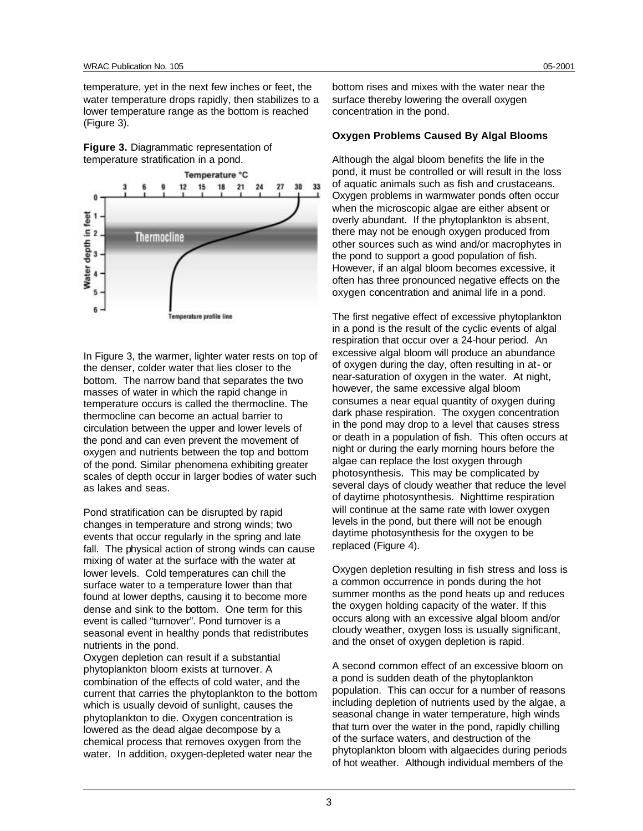temperature, yet in the next few inches or feet, the water temperature drops rapidly, then stabilizes to a lower temperature range as the bottom is reached (Figure 3).

**Figure 3.** Diagrammatic representation of temperature stratification in a pond.



In Figure 3, the warmer, lighter water rests on top of the denser, colder water that lies closer to the bottom. The narrow band that separates the two masses of water in which the rapid change in temperature occurs is called the thermocline. The thermocline can become an actual barrier to circulation between the upper and lower levels of the pond and can even prevent the movement of oxygen and nutrients between the top and bottom of the pond. Similar phenomena exhibiting greater scales of depth occur in larger bodies of water such as lakes and seas.

Pond stratification can be disrupted by rapid changes in temperature and strong winds; two events that occur regularly in the spring and late fall. The physical action of strong winds can cause mixing of water at the surface with the water at lower levels. Cold temperatures can chill the surface water to a temperature lower than that found at lower depths, causing it to become more dense and sink to the bottom. One term for this event is called "turnover". Pond turnover is a seasonal event in healthy ponds that redistributes nutrients in the pond.

Oxygen depletion can result if a substantial phytoplankton bloom exists at turnover. A combination of the effects of cold water, and the current that carries the phytoplankton to the bottom which is usually devoid of sunlight, causes the phytoplankton to die. Oxygen concentration is lowered as the dead algae decompose by a chemical process that removes oxygen from the water. In addition, oxygen-depleted water near the

bottom rises and mixes with the water near the surface thereby lowering the overall oxygen concentration in the pond.

#### **Oxygen Problems Caused By Algal Blooms**

Although the algal bloom benefits the life in the pond, it must be controlled or will result in the loss of aquatic animals such as fish and crustaceans. Oxygen problems in warmwater ponds often occur when the microscopic algae are either absent or overly abundant. If the phytoplankton is absent, there may not be enough oxygen produced from other sources such as wind and/or macrophytes in the pond to support a good population of fish. However, if an algal bloom becomes excessive, it often has three pronounced negative effects on the oxygen concentration and animal life in a pond.

The first negative effect of excessive phytoplankton in a pond is the result of the cyclic events of algal respiration that occur over a 24-hour period. An excessive algal bloom will produce an abundance of oxygen during the day, often resulting in at- or near-saturation of oxygen in the water. At night, however, the same excessive algal bloom consumes a near equal quantity of oxygen during dark phase respiration. The oxygen concentration in the pond may drop to a level that causes stress or death in a population of fish. This often occurs at night or during the early morning hours before the algae can replace the lost oxygen through photosynthesis. This may be complicated by several days of cloudy weather that reduce the level of daytime photosynthesis. Nighttime respiration will continue at the same rate with lower oxygen levels in the pond, but there will not be enough daytime photosynthesis for the oxygen to be replaced (Figure 4).

Oxygen depletion resulting in fish stress and loss is a common occurrence in ponds during the hot summer months as the pond heats up and reduces the oxygen holding capacity of the water. If this occurs along with an excessive algal bloom and/or cloudy weather, oxygen loss is usually significant, and the onset of oxygen depletion is rapid.

A second common effect of an excessive bloom on a pond is sudden death of the phytoplankton population. This can occur for a number of reasons including depletion of nutrients used by the algae, a seasonal change in water temperature, high winds that turn over the water in the pond, rapidly chilling of the surface waters, and destruction of the phytoplankton bloom with algaecides during periods of hot weather. Although individual members of the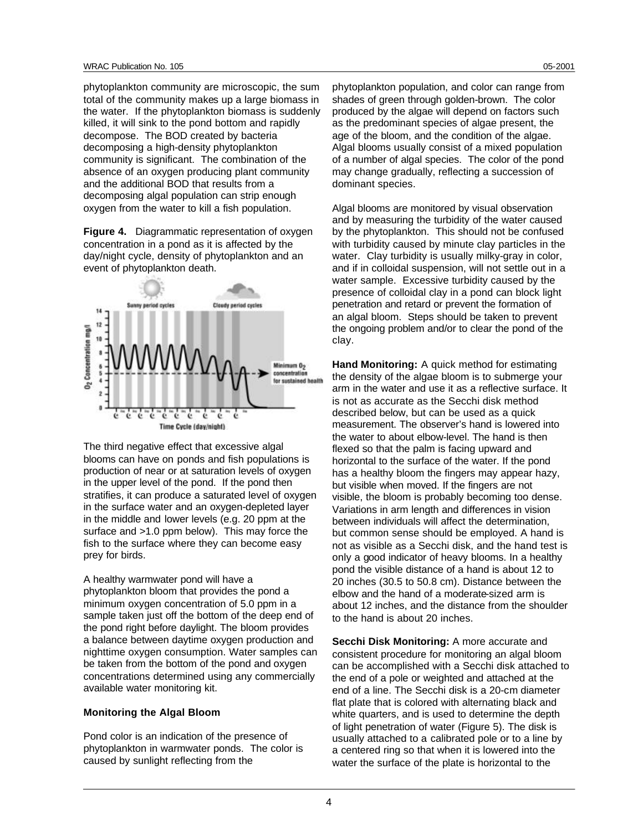phytoplankton community are microscopic, the sum total of the community makes up a large biomass in the water. If the phytoplankton biomass is suddenly killed, it will sink to the pond bottom and rapidly decompose. The BOD created by bacteria decomposing a high-density phytoplankton community is significant. The combination of the absence of an oxygen producing plant community and the additional BOD that results from a decomposing algal population can strip enough oxygen from the water to kill a fish population.

**Figure 4.** Diagrammatic representation of oxygen concentration in a pond as it is affected by the day/night cycle, density of phytoplankton and an event of phytoplankton death.



The third negative effect that excessive algal blooms can have on ponds and fish populations is production of near or at saturation levels of oxygen in the upper level of the pond. If the pond then stratifies, it can produce a saturated level of oxygen in the surface water and an oxygen-depleted layer in the middle and lower levels (e.g. 20 ppm at the surface and >1.0 ppm below). This may force the fish to the surface where they can become easy prey for birds.

A healthy warmwater pond will have a phytoplankton bloom that provides the pond a minimum oxygen concentration of 5.0 ppm in a sample taken just off the bottom of the deep end of the pond right before daylight. The bloom provides a balance between daytime oxygen production and nighttime oxygen consumption. Water samples can be taken from the bottom of the pond and oxygen concentrations determined using any commercially available water monitoring kit.

## **Monitoring the Algal Bloom**

Pond color is an indication of the presence of phytoplankton in warmwater ponds. The color is caused by sunlight reflecting from the

phytoplankton population, and color can range from shades of green through golden-brown. The color produced by the algae will depend on factors such as the predominant species of algae present, the age of the bloom, and the condition of the algae. Algal blooms usually consist of a mixed population of a number of algal species. The color of the pond may change gradually, reflecting a succession of dominant species.

Algal blooms are monitored by visual observation and by measuring the turbidity of the water caused by the phytoplankton. This should not be confused with turbidity caused by minute clay particles in the water. Clay turbidity is usually milky-gray in color, and if in colloidal suspension, will not settle out in a water sample. Excessive turbidity caused by the presence of colloidal clay in a pond can block light penetration and retard or prevent the formation of an algal bloom. Steps should be taken to prevent the ongoing problem and/or to clear the pond of the clay.

**Hand Monitoring:** A quick method for estimating the density of the algae bloom is to submerge your arm in the water and use it as a reflective surface. It is not as accurate as the Secchi disk method described below, but can be used as a quick measurement. The observer's hand is lowered into the water to about elbow-level. The hand is then flexed so that the palm is facing upward and horizontal to the surface of the water. If the pond has a healthy bloom the fingers may appear hazy, but visible when moved. If the fingers are not visible, the bloom is probably becoming too dense. Variations in arm length and differences in vision between individuals will affect the determination, but common sense should be employed. A hand is not as visible as a Secchi disk, and the hand test is only a good indicator of heavy blooms. In a healthy pond the visible distance of a hand is about 12 to 20 inches (30.5 to 50.8 cm). Distance between the elbow and the hand of a moderate-sized arm is about 12 inches, and the distance from the shoulder to the hand is about 20 inches.

**Secchi Disk Monitoring:** A more accurate and consistent procedure for monitoring an algal bloom can be accomplished with a Secchi disk attached to the end of a pole or weighted and attached at the end of a line. The Secchi disk is a 20-cm diameter flat plate that is colored with alternating black and white quarters, and is used to determine the depth of light penetration of water (Figure 5). The disk is usually attached to a calibrated pole or to a line by a centered ring so that when it is lowered into the water the surface of the plate is horizontal to the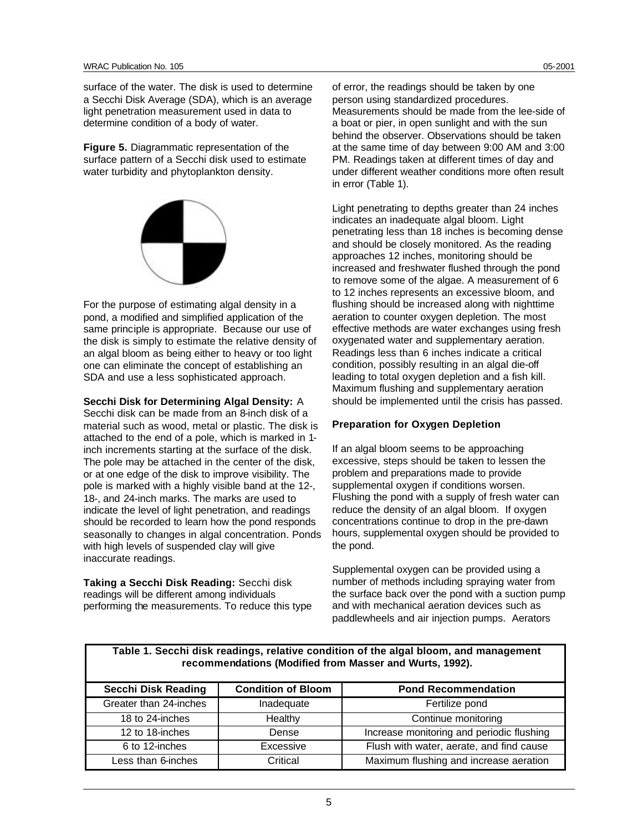surface of the water. The disk is used to determine a Secchi Disk Average (SDA), which is an average light penetration measurement used in data to determine condition of a body of water.

**Figure 5.** Diagrammatic representation of the surface pattern of a Secchi disk used to estimate water turbidity and phytoplankton density.



For the purpose of estimating algal density in a pond, a modified and simplified application of the same principle is appropriate. Because our use of the disk is simply to estimate the relative density of an algal bloom as being either to heavy or too light one can eliminate the concept of establishing an SDA and use a less sophisticated approach.

#### **Secchi Disk for Determining Algal Density:** A

Secchi disk can be made from an 8-inch disk of a material such as wood, metal or plastic. The disk is attached to the end of a pole, which is marked in 1 inch increments starting at the surface of the disk. The pole may be attached in the center of the disk, or at one edge of the disk to improve visibility. The pole is marked with a highly visible band at the 12-, 18-, and 24-inch marks. The marks are used to indicate the level of light penetration, and readings should be recorded to learn how the pond responds seasonally to changes in algal concentration. Ponds with high levels of suspended clay will give inaccurate readings.

**Taking a Secchi Disk Reading:** Secchi disk readings will be different among individuals performing the measurements. To reduce this type PM. Readings taken at different times of day and under different weather conditions more often result in error (Table 1).

Light penetrating to depths greater than 24 inches indicates an inadequate algal bloom. Light penetrating less than 18 inches is becoming dense and should be closely monitored. As the reading approaches 12 inches, monitoring should be increased and freshwater flushed through the pond to remove some of the algae. A measurement of 6 to 12 inches represents an excessive bloom, and flushing should be increased along with nighttime aeration to counter oxygen depletion. The most effective methods are water exchanges using fresh oxygenated water and supplementary aeration. Readings less than 6 inches indicate a critical condition, possibly resulting in an algal die-off leading to total oxygen depletion and a fish kill. Maximum flushing and supplementary aeration should be implemented until the crisis has passed.

#### **Preparation for Oxygen Depletion**

If an algal bloom seems to be approaching excessive, steps should be taken to lessen the problem and preparations made to provide supplemental oxygen if conditions worsen. Flushing the pond with a supply of fresh water can reduce the density of an algal bloom. If oxygen concentrations continue to drop in the pre-dawn hours, supplemental oxygen should be provided to the pond.

Supplemental oxygen can be provided using a number of methods including spraying water from the surface back over the pond with a suction pump and with mechanical aeration devices such as paddlewheels and air injection pumps. Aerators

**Table 1. Secchi disk readings, relative condition of the algal bloom, and management recommendations (Modified from Masser and Wurts, 1992).**

| <b>Secchi Disk Reading</b> | <b>Condition of Bloom</b> | <b>Pond Recommendation</b>                |
|----------------------------|---------------------------|-------------------------------------------|
| Greater than 24-inches     | Inadequate                | Fertilize pond                            |
| 18 to 24-inches            | <b>Healthy</b>            | Continue monitoring                       |
| 12 to 18-inches            | Dense                     | Increase monitoring and periodic flushing |
| 6 to 12-inches             | Excessive                 | Flush with water, aerate, and find cause  |
| Less than 6-inches         | Critical                  | Maximum flushing and increase aeration    |